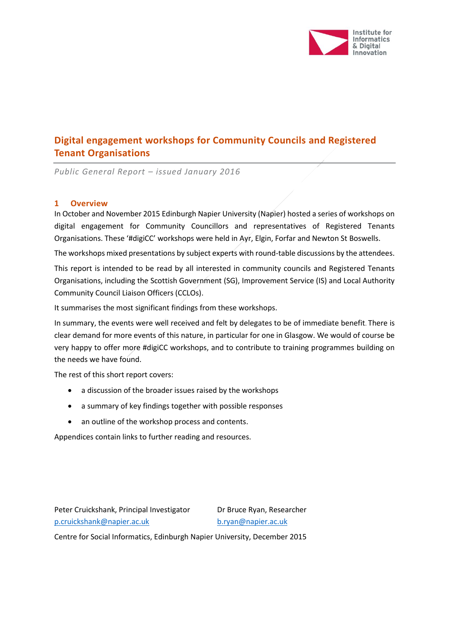

# **Digital engagement workshops for Community Councils and Registered Tenant Organisations**

*Public General Report – issued January 2016*

### **1 Overview**

In October and November 2015 Edinburgh Napier University (Napier) hosted a series of workshops on digital engagement for Community Councillors and representatives of Registered Tenants Organisations. These '#digiCC' workshops were held in Ayr, Elgin, Forfar and Newton St Boswells.

The workshops mixed presentations by subject experts with round-table discussions by the attendees.

This report is intended to be read by all interested in community councils and Registered Tenants Organisations, including the Scottish Government (SG), Improvement Service (IS) and Local Authority Community Council Liaison Officers (CCLOs).

It summarises the most significant findings from these workshops.

In summary, the events were well received and felt by delegates to be of immediate benefit. There is clear demand for more events of this nature, in particular for one in Glasgow. We would of course be very happy to offer more #digiCC workshops, and to contribute to training programmes building on the needs we have found.

The rest of this short report covers:

- a discussion of the broader issues raised by the workshops
- a summary of key findings together with possible responses
- an outline of the workshop process and contents.

Appendices contain links to further reading and resources.

Peter Cruickshank, Principal Investigator Dr Bruce Ryan, Researcher [p.cruickshank@napier.ac.uk](mailto:p.cruickshank@napier.ac.uk) [b.ryan@napier.ac.uk](mailto:b.ryan@napier.ac.uk)

Centre for Social Informatics, Edinburgh Napier University, December 2015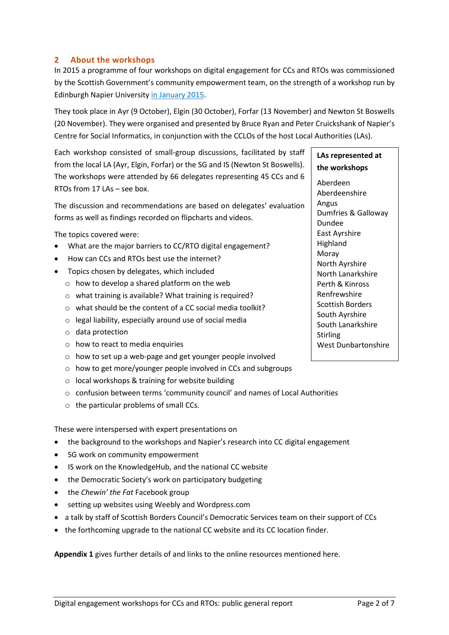### **2 About the workshops**

In 2015 a programme of four workshops on digital engagement for CCs and RTOs was commissioned by the Scottish Government's community empowerment team, on the strength of a workshop run by Edinburgh Napier University [in January 2015.](https://khub.net/documents/5410368/0/digiCC+workshop+outcomes+report/88ec7bb1-f9c7-4467-955c-d034980f24c8)

They took place in Ayr (9 October), Elgin (30 October), Forfar (13 November) and Newton St Boswells (20 November). They were organised and presented by Bruce Ryan and Peter Cruickshank of Napier's Centre for Social Informatics, in conjunction with the CCLOs of the host Local Authorities (LAs).

Each workshop consisted of small-group discussions, facilitated by staff from the local LA (Ayr, Elgin, Forfar) or the SG and IS (Newton St Boswells). The workshops were attended by 66 delegates representing 45 CCs and 6 RTOs from  $17 \text{ lAs}$  – see box.

The discussion and recommendations are based on delegates' evaluation forms as well as findings recorded on flipcharts and videos.

The topics covered were:

- What are the major barriers to CC/RTO digital engagement?
- How can CCs and RTOs best use the internet?
- Topics chosen by delegates, which included
	- o how to develop a shared platform on the web
	- o what training is available? What training is required?
	- o what should be the content of a CC social media toolkit?
	- o legal liability, especially around use of social media
	- o data protection
	- $\circ$  how to react to media enquiries
	- o how to set up a web-page and get younger people involved
	- o how to get more/younger people involved in CCs and subgroups
	- o local workshops & training for website building
	- $\circ$  confusion between terms 'community council' and names of Local Authorities
	- o the particular problems of small CCs.

These were interspersed with expert presentations on

- the background to the workshops and Napier's research into CC digital engagement
- SG work on community empowerment
- IS work on the KnowledgeHub, and the national CC website
- the Democratic Society's work on participatory budgeting
- the *Chewin' the Fat* Facebook group
- setting up websites using Weebly and Wordpress.com
- a talk by staff of Scottish Borders Council's Democratic Services team on their support of CCs
- the forthcoming upgrade to the national CC website and its CC location finder.

**Appendix 1** gives further details of and links to the online resources mentioned here.

# **LAs represented at the workshops**

Aberdeen Aberdeenshire Angus Dumfries & Galloway Dundee East Ayrshire Highland Moray North Ayrshire North Lanarkshire Perth & Kinross Renfrewshire Scottish Borders South Ayrshire South Lanarkshire Stirling West Dunbartonshire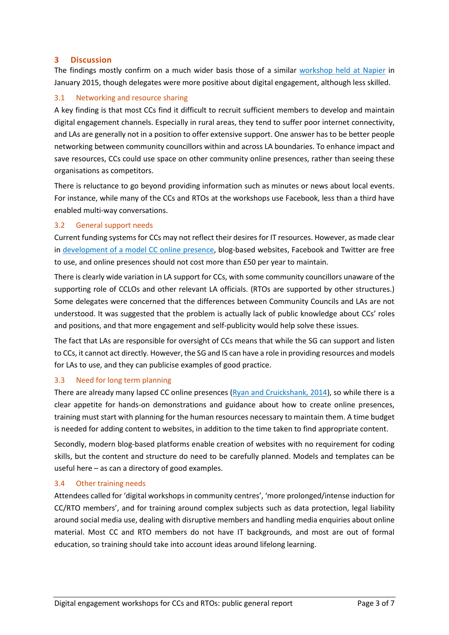### **3 Discussion**

The findings mostly confirm on a much wider basis those of a similar [workshop held at Napier](https://khub.net/documents/5410368/0/digiCC+workshop+outcomes+report) in January 2015, though delegates were more positive about digital engagement, although less skilled.

### 3.1 Networking and resource sharing

A key finding is that most CCs find it difficult to recruit sufficient members to develop and maintain digital engagement channels. Especially in rural areas, they tend to suffer poor internet connectivity, and LAs are generally not in a position to offer extensive support. One answer has to be better people networking between community councillors within and across LA boundaries. To enhance impact and save resources, CCs could use space on other community online presences, rather than seeing these organisations as competitors.

There is reluctance to go beyond providing information such as minutes or news about local events. For instance, while many of the CCs and RTOs at the workshops use Facebook, less than a third have enabled multi-way conversations.

### 3.2 General support needs

Current funding systems for CCs may not reflect their desires for IT resources. However, as made clear in [development of a model CC online presence,](https://khub.net/documents/10440977/16901497/a+model+CC+online+presence.pdf) blog-based websites, Facebook and Twitter are free to use, and online presences should not cost more than £50 per year to maintain.

There is clearly wide variation in LA support for CCs, with some community councillors unaware of the supporting role of CCLOs and other relevant LA officials. (RTOs are supported by other structures.) Some delegates were concerned that the differences between Community Councils and LAs are not understood. It was suggested that the problem is actually lack of public knowledge about CCs' roles and positions, and that more engagement and self-publicity would help solve these issues.

The fact that LAs are responsible for oversight of CCs means that while the SG can support and listen to CCs, it cannot act directly. However, the SG and IS can have a role in providing resources and models for LAs to use, and they can publicise examples of good practice.

### 3.3 Need for long term planning

There are already many lapsed CC online presences [\(Ryan and Cruickshank, 2014\)](http://www.iidi.napier.ac.uk/c/publications/publicationid/13379605), so while there is a clear appetite for hands-on demonstrations and guidance about how to create online presences, training must start with planning for the human resources necessary to maintain them. A time budget is needed for adding content to websites, in addition to the time taken to find appropriate content.

Secondly, modern blog-based platforms enable creation of websites with no requirement for coding skills, but the content and structure do need to be carefully planned. Models and templates can be useful here – as can a directory of good examples.

### 3.4 Other training needs

Attendees called for 'digital workshops in community centres', 'more prolonged/intense induction for CC/RTO members', and for training around complex subjects such as data protection, legal liability around social media use, dealing with disruptive members and handling media enquiries about online material. Most CC and RTO members do not have IT backgrounds, and most are out of formal education, so training should take into account ideas around lifelong learning.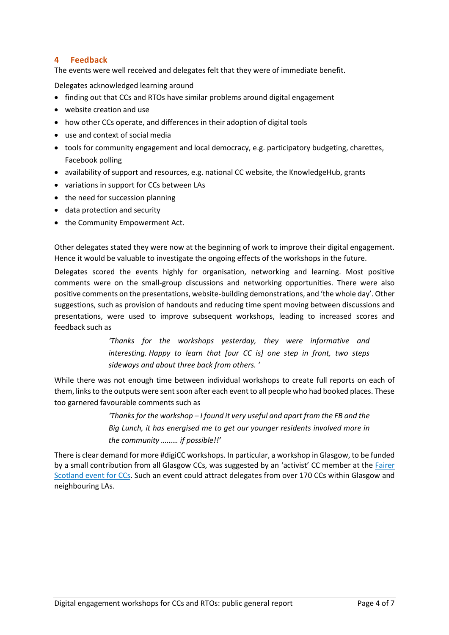### **4 Feedback**

The events were well received and delegates felt that they were of immediate benefit.

Delegates acknowledged learning around

- finding out that CCs and RTOs have similar problems around digital engagement
- website creation and use
- how other CCs operate, and differences in their adoption of digital tools
- use and context of social media
- tools for community engagement and local democracy, e.g. participatory budgeting, charettes, Facebook polling
- availability of support and resources, e.g. national CC website, the KnowledgeHub, grants
- variations in support for CCs between LAs
- the need for succession planning
- data protection and security
- the Community Empowerment Act.

Other delegates stated they were now at the beginning of work to improve their digital engagement. Hence it would be valuable to investigate the ongoing effects of the workshops in the future.

Delegates scored the events highly for organisation, networking and learning. Most positive comments were on the small-group discussions and networking opportunities. There were also positive comments on the presentations, website-building demonstrations, and 'the whole day'. Other suggestions, such as provision of handouts and reducing time spent moving between discussions and presentations, were used to improve subsequent workshops, leading to increased scores and feedback such as

> *'Thanks for the workshops yesterday, they were informative and interesting. Happy to learn that [our CC is] one step in front, two steps sideways and about three back from others. '*

While there was not enough time between individual workshops to create full reports on each of them, links to the outputs were sent soon after each event to all people who had booked places. These too garnered favourable comments such as

> *'Thanks for the workshop – I found it very useful and apart from the FB and the Big Lunch, it has energised me to get our younger residents involved more in the community ……… if possible!!'*

There is clear demand for more #digiCC workshops. In particular, a workshop in Glasgow, to be funded by a small contribution from all Glasgow CCs, was suggested by an 'activist' CC member at the Fairer [Scotland event for CCs.](http://www.communitycouncils.org.uk/read-the-community-council-fairer-scotland-event-report.html) Such an event could attract delegates from over 170 CCs within Glasgow and neighbouring LAs.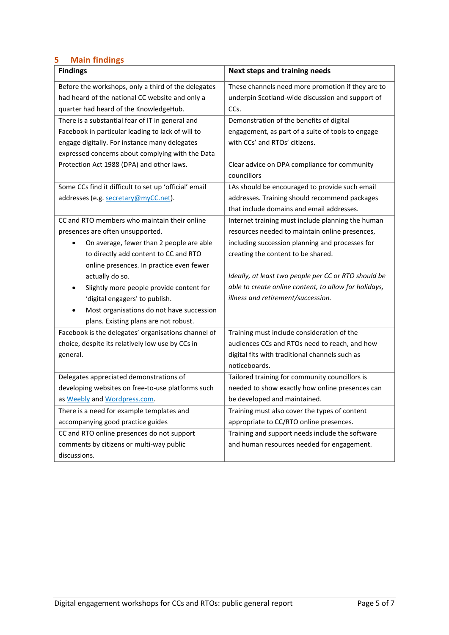## **5 Main findings**

| <b>Findings</b>                                       | <b>Next steps and training needs</b>                        |  |
|-------------------------------------------------------|-------------------------------------------------------------|--|
| Before the workshops, only a third of the delegates   | These channels need more promotion if they are to           |  |
| had heard of the national CC website and only a       | underpin Scotland-wide discussion and support of            |  |
| quarter had heard of the KnowledgeHub.                | CCs.                                                        |  |
| There is a substantial fear of IT in general and      | Demonstration of the benefits of digital                    |  |
| Facebook in particular leading to lack of will to     | engagement, as part of a suite of tools to engage           |  |
| engage digitally. For instance many delegates         | with CCs' and RTOs' citizens.                               |  |
| expressed concerns about complying with the Data      |                                                             |  |
| Protection Act 1988 (DPA) and other laws.             | Clear advice on DPA compliance for community<br>councillors |  |
| Some CCs find it difficult to set up 'official' email | LAs should be encouraged to provide such email              |  |
| addresses (e.g. secretary@myCC.net).                  | addresses. Training should recommend packages               |  |
|                                                       | that include domains and email addresses.                   |  |
| CC and RTO members who maintain their online          | Internet training must include planning the human           |  |
| presences are often unsupported.                      | resources needed to maintain online presences,              |  |
| On average, fewer than 2 people are able<br>٠         | including succession planning and processes for             |  |
| to directly add content to CC and RTO                 | creating the content to be shared.                          |  |
| online presences. In practice even fewer              |                                                             |  |
| actually do so.                                       | Ideally, at least two people per CC or RTO should be        |  |
| Slightly more people provide content for<br>٠         | able to create online content, to allow for holidays,       |  |
| 'digital engagers' to publish.                        | illness and retirement/succession.                          |  |
| Most organisations do not have succession             |                                                             |  |
| plans. Existing plans are not robust.                 |                                                             |  |
| Facebook is the delegates' organisations channel of   | Training must include consideration of the                  |  |
| choice, despite its relatively low use by CCs in      | audiences CCs and RTOs need to reach, and how               |  |
| general.                                              | digital fits with traditional channels such as              |  |
|                                                       | noticeboards.                                               |  |
| Delegates appreciated demonstrations of               | Tailored training for community councillors is              |  |
| developing websites on free-to-use platforms such     | needed to show exactly how online presences can             |  |
| as Weebly and Wordpress.com.                          | be developed and maintained.                                |  |
| There is a need for example templates and             | Training must also cover the types of content               |  |
| accompanying good practice guides                     | appropriate to CC/RTO online presences.                     |  |
| CC and RTO online presences do not support            | Training and support needs include the software             |  |
| comments by citizens or multi-way public              | and human resources needed for engagement.                  |  |
| discussions.                                          |                                                             |  |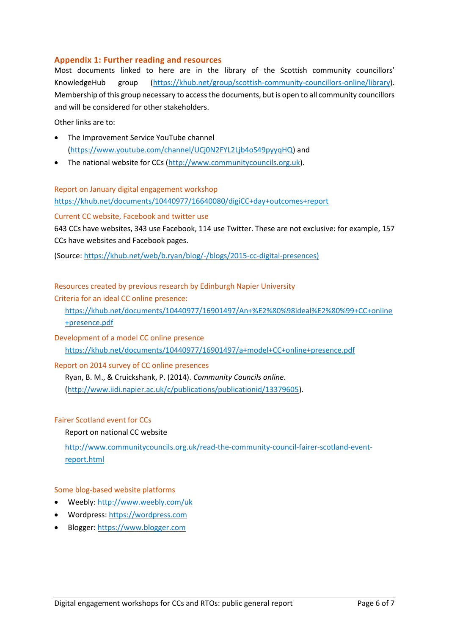### **Appendix 1: Further reading and resources**

Most documents linked to here are in the library of the Scottish community councillors' KnowledgeHub group [\(https://khub.net/group/scottish-community-councillors-online/library\)](https://khub.net/group/scottish-community-councillors-online/library). Membership of this group necessary to access the documents, but is open to all community councillors and will be considered for other stakeholders.

Other links are to:

- The Improvement Service YouTube channel [\(https://www.youtube.com/channel/UCj0N2FYL2Ljb4oS49pyyqHQ\)](https://www.youtube.com/channel/UCj0N2FYL2Ljb4oS49pyyqHQ) and
- The national website for CCs [\(http://www.communitycouncils.org.uk\)](http://www.communitycouncils.org.uk/).

Report on January digital engagement workshop

<https://khub.net/documents/10440977/16640080/digiCC+day+outcomes+report>

#### Current CC website, Facebook and twitter use

643 CCs have websites, 343 use Facebook, 114 use Twitter. These are not exclusive: for example, 157 CCs have websites and Facebook pages.

(Source: [https://khub.net/web/b.ryan/blog/-/blogs/2015-cc-digital-presences\)](https://khub.net/web/b.ryan/blog/-/blogs/2015-cc-digital-presences)

#### Resources created by previous research by Edinburgh Napier University

Criteria for an ideal CC online presence:

[https://khub.net/documents/10440977/16901497/An+%E2%80%98ideal%E2%80%99+CC+online](https://khub.net/documents/10440977/16901497/An+%E2%80%98ideal%E2%80%99+CC+online+presence.pdf/6b8dd261-31c0-48f5-9c41-8f38bf3bf661) [+presence.pdf](https://khub.net/documents/10440977/16901497/An+%E2%80%98ideal%E2%80%99+CC+online+presence.pdf/6b8dd261-31c0-48f5-9c41-8f38bf3bf661)

Development of a model CC online presence [https://khub.net/documents/10440977/16901497/a+model+CC+online+presence.pdf](https://khub.net/documents/10440977/16901497/a+model+CC+online+presence.pdf/bcc1f2bc-8e34-49fa-8486-a10cd5f54167)

Report on 2014 survey of CC online presences

Ryan, B. M., & Cruickshank, P. (2014). *Community Councils online*. [\(http://www.iidi.napier.ac.uk/c/publications/publicationid/13379605\)](http://www.iidi.napier.ac.uk/c/publications/publicationid/13379605).

#### Fairer Scotland event for CCs

#### Report on national CC website

[http://www.communitycouncils.org.uk/read-the-community-council-fairer-scotland-event](http://www.communitycouncils.org.uk/read-the-community-council-fairer-scotland-event-report.html)[report.html](http://www.communitycouncils.org.uk/read-the-community-council-fairer-scotland-event-report.html)

#### Some blog-based website platforms

- Weebly[: http://www.weebly.com/uk](http://www.weebly.com/uk)
- Wordpress: [https://wordpress.com](https://wordpress.com/)
- Blogger[: https://www.blogger.com](https://www.blogger.com/)